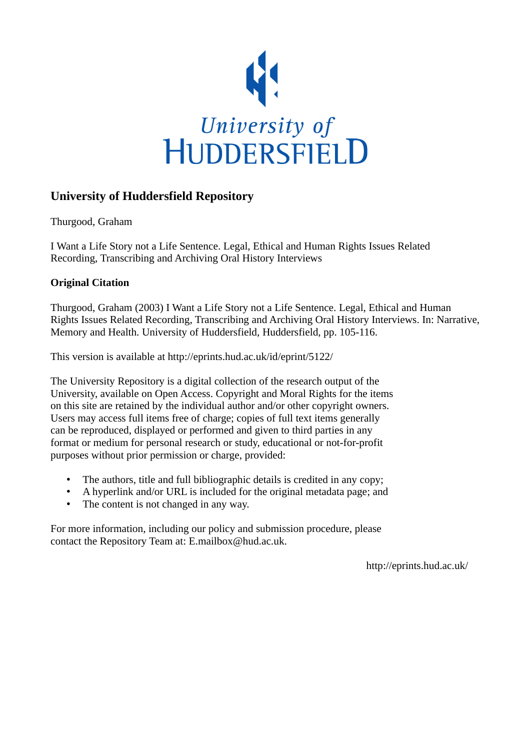

## **University of Huddersfield Repository**

Thurgood, Graham

I Want a Life Story not a Life Sentence. Legal, Ethical and Human Rights Issues Related Recording, Transcribing and Archiving Oral History Interviews

### **Original Citation**

Thurgood, Graham (2003) I Want a Life Story not a Life Sentence. Legal, Ethical and Human Rights Issues Related Recording, Transcribing and Archiving Oral History Interviews. In: Narrative, Memory and Health. University of Huddersfield, Huddersfield, pp. 105-116.

This version is available at http://eprints.hud.ac.uk/id/eprint/5122/

The University Repository is a digital collection of the research output of the University, available on Open Access. Copyright and Moral Rights for the items on this site are retained by the individual author and/or other copyright owners. Users may access full items free of charge; copies of full text items generally can be reproduced, displayed or performed and given to third parties in any format or medium for personal research or study, educational or not-for-profit purposes without prior permission or charge, provided:

- The authors, title and full bibliographic details is credited in any copy;
- A hyperlink and/or URL is included for the original metadata page; and
- The content is not changed in any way.

For more information, including our policy and submission procedure, please contact the Repository Team at: E.mailbox@hud.ac.uk.

http://eprints.hud.ac.uk/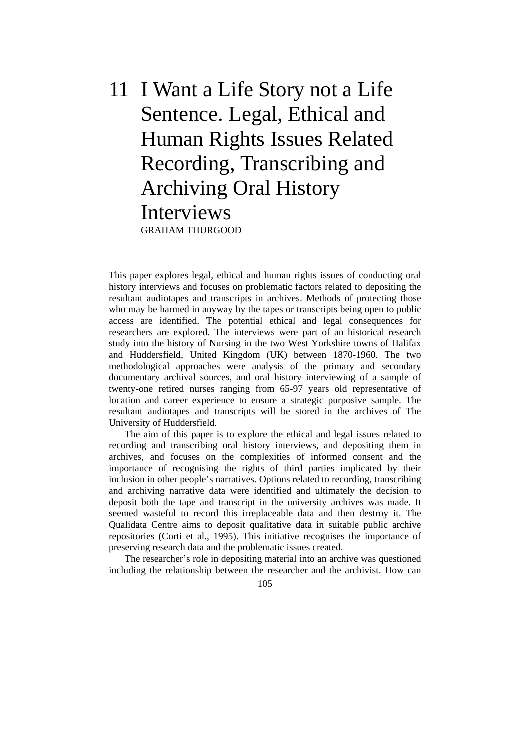# 11 I Want a Life Story not a Life Sentence. Legal, Ethical and Human Rights Issues Related Recording, Transcribing and Archiving Oral History Interviews GRAHAM THURGOOD

This paper explores legal, ethical and human rights issues of conducting oral history interviews and focuses on problematic factors related to depositing the resultant audiotapes and transcripts in archives. Methods of protecting those who may be harmed in anyway by the tapes or transcripts being open to public access are identified. The potential ethical and legal consequences for researchers are explored. The interviews were part of an historical research study into the history of Nursing in the two West Yorkshire towns of Halifax and Huddersfield, United Kingdom (UK) between 1870-1960. The two methodological approaches were analysis of the primary and secondary documentary archival sources, and oral history interviewing of a sample of twenty-one retired nurses ranging from 65-97 years old representative of location and career experience to ensure a strategic purposive sample. The resultant audiotapes and transcripts will be stored in the archives of The University of Huddersfield.

 The aim of this paper is to explore the ethical and legal issues related to recording and transcribing oral history interviews, and depositing them in archives, and focuses on the complexities of informed consent and the importance of recognising the rights of third parties implicated by their inclusion in other people's narratives. Options related to recording, transcribing and archiving narrative data were identified and ultimately the decision to deposit both the tape and transcript in the university archives was made. It seemed wasteful to record this irreplaceable data and then destroy it. The Qualidata Centre aims to deposit qualitative data in suitable public archive repositories (Corti et al., 1995). This initiative recognises the importance of preserving research data and the problematic issues created.

 The researcher's role in depositing material into an archive was questioned including the relationship between the researcher and the archivist. How can

105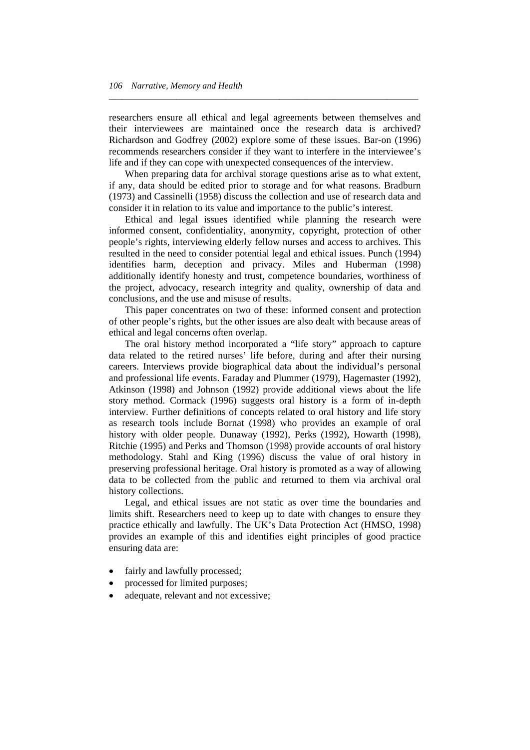researchers ensure all ethical and legal agreements between themselves and their interviewees are maintained once the research data is archived? Richardson and Godfrey (2002) explore some of these issues. Bar-on (1996) recommends researchers consider if they want to interfere in the interviewee's life and if they can cope with unexpected consequences of the interview.

*\_\_\_\_\_\_\_\_\_\_\_\_\_\_\_\_\_\_\_\_\_\_\_\_\_\_\_\_\_\_\_\_\_\_\_\_\_\_\_\_\_\_\_\_\_\_\_\_\_\_\_\_\_\_\_\_\_\_\_\_\_\_\_\_\_\_\_\_\_* 

 When preparing data for archival storage questions arise as to what extent, if any, data should be edited prior to storage and for what reasons. Bradburn (1973) and Cassinelli (1958) discuss the collection and use of research data and consider it in relation to its value and importance to the public's interest.

 Ethical and legal issues identified while planning the research were informed consent, confidentiality, anonymity, copyright, protection of other people's rights, interviewing elderly fellow nurses and access to archives. This resulted in the need to consider potential legal and ethical issues. Punch (1994) identifies harm, deception and privacy. Miles and Huberman (1998) additionally identify honesty and trust, competence boundaries, worthiness of the project, advocacy, research integrity and quality, ownership of data and conclusions, and the use and misuse of results.

 This paper concentrates on two of these: informed consent and protection of other people's rights, but the other issues are also dealt with because areas of ethical and legal concerns often overlap.

 The oral history method incorporated a "life story" approach to capture data related to the retired nurses' life before, during and after their nursing careers. Interviews provide biographical data about the individual's personal and professional life events. Faraday and Plummer (1979), Hagemaster (1992), Atkinson (1998) and Johnson (1992) provide additional views about the life story method. Cormack (1996) suggests oral history is a form of in-depth interview. Further definitions of concepts related to oral history and life story as research tools include Bornat (1998) who provides an example of oral history with older people. Dunaway (1992), Perks (1992), Howarth (1998), Ritchie (1995) and Perks and Thomson (1998) provide accounts of oral history methodology. Stahl and King (1996) discuss the value of oral history in preserving professional heritage. Oral history is promoted as a way of allowing data to be collected from the public and returned to them via archival oral history collections.

 Legal, and ethical issues are not static as over time the boundaries and limits shift. Researchers need to keep up to date with changes to ensure they practice ethically and lawfully. The UK's Data Protection Act (HMSO, 1998) provides an example of this and identifies eight principles of good practice ensuring data are:

- fairly and lawfully processed;
- processed for limited purposes;
- adequate, relevant and not excessive;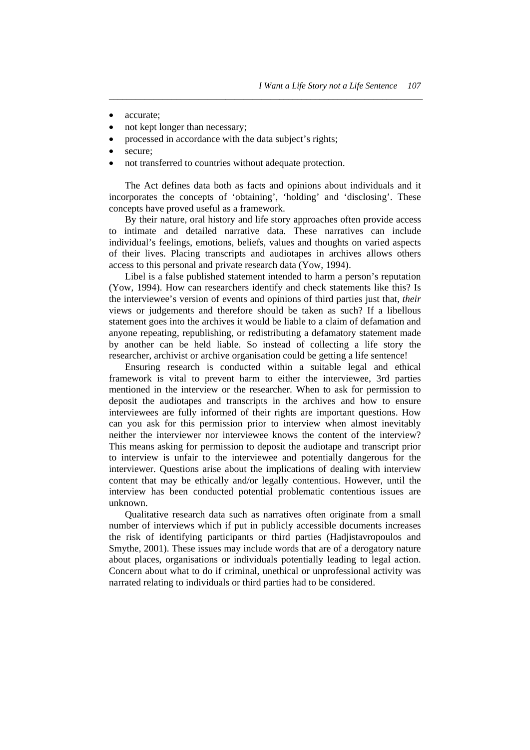- accurate:
- not kept longer than necessary;
- processed in accordance with the data subject's rights;
- secure;
- not transferred to countries without adequate protection.

 The Act defines data both as facts and opinions about individuals and it incorporates the concepts of 'obtaining', 'holding' and 'disclosing'. These concepts have proved useful as a framework.

*\_\_\_\_\_\_\_\_\_\_\_\_\_\_\_\_\_\_\_\_\_\_\_\_\_\_\_\_\_\_\_\_\_\_\_\_\_\_\_\_\_\_\_\_\_\_\_\_\_\_\_\_\_\_\_\_\_\_\_\_\_\_\_\_\_\_\_\_\_\_* 

 By their nature, oral history and life story approaches often provide access to intimate and detailed narrative data. These narratives can include individual's feelings, emotions, beliefs, values and thoughts on varied aspects of their lives. Placing transcripts and audiotapes in archives allows others access to this personal and private research data (Yow, 1994).

 Libel is a false published statement intended to harm a person's reputation (Yow, 1994). How can researchers identify and check statements like this? Is the interviewee's version of events and opinions of third parties just that, *their*  views or judgements and therefore should be taken as such? If a libellous statement goes into the archives it would be liable to a claim of defamation and anyone repeating, republishing, or redistributing a defamatory statement made by another can be held liable. So instead of collecting a life story the researcher, archivist or archive organisation could be getting a life sentence!

 Ensuring research is conducted within a suitable legal and ethical framework is vital to prevent harm to either the interviewee, 3rd parties mentioned in the interview or the researcher. When to ask for permission to deposit the audiotapes and transcripts in the archives and how to ensure interviewees are fully informed of their rights are important questions. How can you ask for this permission prior to interview when almost inevitably neither the interviewer nor interviewee knows the content of the interview? This means asking for permission to deposit the audiotape and transcript prior to interview is unfair to the interviewee and potentially dangerous for the interviewer. Questions arise about the implications of dealing with interview content that may be ethically and/or legally contentious. However, until the interview has been conducted potential problematic contentious issues are unknown.

 Qualitative research data such as narratives often originate from a small number of interviews which if put in publicly accessible documents increases the risk of identifying participants or third parties (Hadjistavropoulos and Smythe, 2001). These issues may include words that are of a derogatory nature about places, organisations or individuals potentially leading to legal action. Concern about what to do if criminal, unethical or unprofessional activity was narrated relating to individuals or third parties had to be considered.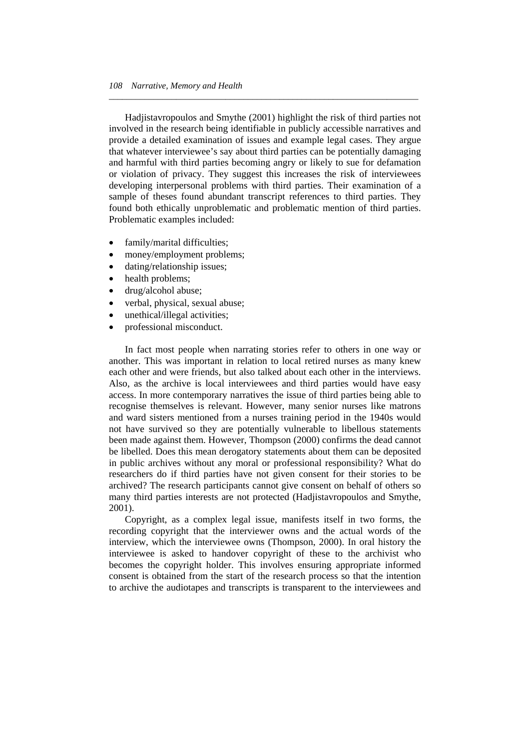Hadjistavropoulos and Smythe (2001) highlight the risk of third parties not involved in the research being identifiable in publicly accessible narratives and provide a detailed examination of issues and example legal cases. They argue that whatever interviewee's say about third parties can be potentially damaging and harmful with third parties becoming angry or likely to sue for defamation or violation of privacy. They suggest this increases the risk of interviewees developing interpersonal problems with third parties. Their examination of a sample of theses found abundant transcript references to third parties. They found both ethically unproblematic and problematic mention of third parties. Problematic examples included:

*\_\_\_\_\_\_\_\_\_\_\_\_\_\_\_\_\_\_\_\_\_\_\_\_\_\_\_\_\_\_\_\_\_\_\_\_\_\_\_\_\_\_\_\_\_\_\_\_\_\_\_\_\_\_\_\_\_\_\_\_\_\_\_\_\_\_\_\_\_* 

- family/marital difficulties;
- money/employment problems;
- dating/relationship issues;
- health problems;
- drug/alcohol abuse;
- verbal, physical, sexual abuse;
- unethical/illegal activities;
- professional misconduct.

 In fact most people when narrating stories refer to others in one way or another. This was important in relation to local retired nurses as many knew each other and were friends, but also talked about each other in the interviews. Also, as the archive is local interviewees and third parties would have easy access. In more contemporary narratives the issue of third parties being able to recognise themselves is relevant. However, many senior nurses like matrons and ward sisters mentioned from a nurses training period in the 1940s would not have survived so they are potentially vulnerable to libellous statements been made against them. However, Thompson (2000) confirms the dead cannot be libelled. Does this mean derogatory statements about them can be deposited in public archives without any moral or professional responsibility? What do researchers do if third parties have not given consent for their stories to be archived? The research participants cannot give consent on behalf of others so many third parties interests are not protected (Hadjistavropoulos and Smythe, 2001).

 Copyright, as a complex legal issue, manifests itself in two forms, the recording copyright that the interviewer owns and the actual words of the interview, which the interviewee owns (Thompson, 2000). In oral history the interviewee is asked to handover copyright of these to the archivist who becomes the copyright holder. This involves ensuring appropriate informed consent is obtained from the start of the research process so that the intention to archive the audiotapes and transcripts is transparent to the interviewees and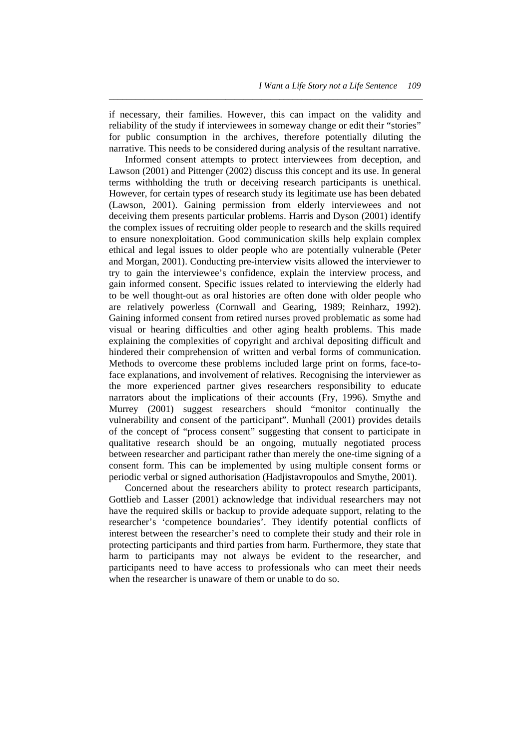if necessary, their families. However, this can impact on the validity and reliability of the study if interviewees in someway change or edit their "stories" for public consumption in the archives, therefore potentially diluting the narrative. This needs to be considered during analysis of the resultant narrative.

*\_\_\_\_\_\_\_\_\_\_\_\_\_\_\_\_\_\_\_\_\_\_\_\_\_\_\_\_\_\_\_\_\_\_\_\_\_\_\_\_\_\_\_\_\_\_\_\_\_\_\_\_\_\_\_\_\_\_\_\_\_\_\_\_\_\_\_\_\_\_* 

 Informed consent attempts to protect interviewees from deception, and Lawson (2001) and Pittenger (2002) discuss this concept and its use. In general terms withholding the truth or deceiving research participants is unethical. However, for certain types of research study its legitimate use has been debated (Lawson, 2001). Gaining permission from elderly interviewees and not deceiving them presents particular problems. Harris and Dyson (2001) identify the complex issues of recruiting older people to research and the skills required to ensure nonexploitation. Good communication skills help explain complex ethical and legal issues to older people who are potentially vulnerable (Peter and Morgan, 2001). Conducting pre-interview visits allowed the interviewer to try to gain the interviewee's confidence, explain the interview process, and gain informed consent. Specific issues related to interviewing the elderly had to be well thought-out as oral histories are often done with older people who are relatively powerless (Cornwall and Gearing, 1989; Reinharz, 1992). Gaining informed consent from retired nurses proved problematic as some had visual or hearing difficulties and other aging health problems. This made explaining the complexities of copyright and archival depositing difficult and hindered their comprehension of written and verbal forms of communication. Methods to overcome these problems included large print on forms, face-toface explanations, and involvement of relatives. Recognising the interviewer as the more experienced partner gives researchers responsibility to educate narrators about the implications of their accounts (Fry, 1996). Smythe and Murrey (2001) suggest researchers should "monitor continually the vulnerability and consent of the participant". Munhall (2001) provides details of the concept of "process consent" suggesting that consent to participate in qualitative research should be an ongoing, mutually negotiated process between researcher and participant rather than merely the one-time signing of a consent form. This can be implemented by using multiple consent forms or periodic verbal or signed authorisation (Hadjistavropoulos and Smythe, 2001).

 Concerned about the researchers ability to protect research participants, Gottlieb and Lasser (2001) acknowledge that individual researchers may not have the required skills or backup to provide adequate support, relating to the researcher's 'competence boundaries'. They identify potential conflicts of interest between the researcher's need to complete their study and their role in protecting participants and third parties from harm. Furthermore, they state that harm to participants may not always be evident to the researcher, and participants need to have access to professionals who can meet their needs when the researcher is unaware of them or unable to do so.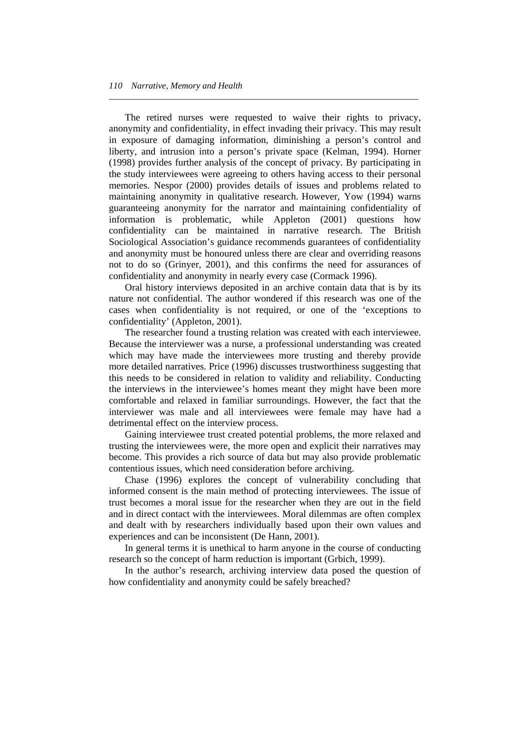The retired nurses were requested to waive their rights to privacy, anonymity and confidentiality, in effect invading their privacy. This may result in exposure of damaging information, diminishing a person's control and liberty, and intrusion into a person's private space (Kelman, 1994). Horner (1998) provides further analysis of the concept of privacy. By participating in the study interviewees were agreeing to others having access to their personal memories. Nespor (2000) provides details of issues and problems related to maintaining anonymity in qualitative research. However, Yow (1994) warns guaranteeing anonymity for the narrator and maintaining confidentiality of information is problematic, while Appleton (2001) questions how confidentiality can be maintained in narrative research. The British Sociological Association's guidance recommends guarantees of confidentiality and anonymity must be honoured unless there are clear and overriding reasons not to do so (Grinyer, 2001), and this confirms the need for assurances of confidentiality and anonymity in nearly every case (Cormack 1996).

*\_\_\_\_\_\_\_\_\_\_\_\_\_\_\_\_\_\_\_\_\_\_\_\_\_\_\_\_\_\_\_\_\_\_\_\_\_\_\_\_\_\_\_\_\_\_\_\_\_\_\_\_\_\_\_\_\_\_\_\_\_\_\_\_\_\_\_\_\_* 

 Oral history interviews deposited in an archive contain data that is by its nature not confidential. The author wondered if this research was one of the cases when confidentiality is not required, or one of the 'exceptions to confidentiality' (Appleton, 2001).

 The researcher found a trusting relation was created with each interviewee. Because the interviewer was a nurse, a professional understanding was created which may have made the interviewees more trusting and thereby provide more detailed narratives. Price (1996) discusses trustworthiness suggesting that this needs to be considered in relation to validity and reliability. Conducting the interviews in the interviewee's homes meant they might have been more comfortable and relaxed in familiar surroundings. However, the fact that the interviewer was male and all interviewees were female may have had a detrimental effect on the interview process.

 Gaining interviewee trust created potential problems, the more relaxed and trusting the interviewees were, the more open and explicit their narratives may become. This provides a rich source of data but may also provide problematic contentious issues, which need consideration before archiving.

 Chase (1996) explores the concept of vulnerability concluding that informed consent is the main method of protecting interviewees. The issue of trust becomes a moral issue for the researcher when they are out in the field and in direct contact with the interviewees. Moral dilemmas are often complex and dealt with by researchers individually based upon their own values and experiences and can be inconsistent (De Hann, 2001).

 In general terms it is unethical to harm anyone in the course of conducting research so the concept of harm reduction is important (Grbich, 1999).

 In the author's research, archiving interview data posed the question of how confidentiality and anonymity could be safely breached?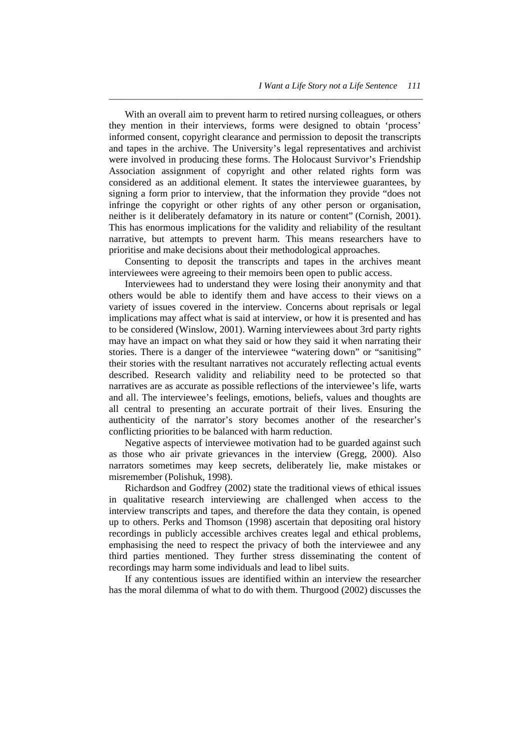With an overall aim to prevent harm to retired nursing colleagues, or others they mention in their interviews, forms were designed to obtain 'process' informed consent, copyright clearance and permission to deposit the transcripts and tapes in the archive. The University's legal representatives and archivist were involved in producing these forms. The Holocaust Survivor's Friendship Association assignment of copyright and other related rights form was considered as an additional element. It states the interviewee guarantees, by signing a form prior to interview, that the information they provide "does not infringe the copyright or other rights of any other person or organisation, neither is it deliberately defamatory in its nature or content" (Cornish, 2001). This has enormous implications for the validity and reliability of the resultant narrative, but attempts to prevent harm. This means researchers have to prioritise and make decisions about their methodological approaches.

*\_\_\_\_\_\_\_\_\_\_\_\_\_\_\_\_\_\_\_\_\_\_\_\_\_\_\_\_\_\_\_\_\_\_\_\_\_\_\_\_\_\_\_\_\_\_\_\_\_\_\_\_\_\_\_\_\_\_\_\_\_\_\_\_\_\_\_\_\_\_* 

 Consenting to deposit the transcripts and tapes in the archives meant interviewees were agreeing to their memoirs been open to public access.

 Interviewees had to understand they were losing their anonymity and that others would be able to identify them and have access to their views on a variety of issues covered in the interview. Concerns about reprisals or legal implications may affect what is said at interview, or how it is presented and has to be considered (Winslow, 2001). Warning interviewees about 3rd party rights may have an impact on what they said or how they said it when narrating their stories. There is a danger of the interviewee "watering down" or "sanitising" their stories with the resultant narratives not accurately reflecting actual events described. Research validity and reliability need to be protected so that narratives are as accurate as possible reflections of the interviewee's life, warts and all. The interviewee's feelings, emotions, beliefs, values and thoughts are all central to presenting an accurate portrait of their lives. Ensuring the authenticity of the narrator's story becomes another of the researcher's conflicting priorities to be balanced with harm reduction.

 Negative aspects of interviewee motivation had to be guarded against such as those who air private grievances in the interview (Gregg, 2000). Also narrators sometimes may keep secrets, deliberately lie, make mistakes or misremember (Polishuk, 1998).

 Richardson and Godfrey (2002) state the traditional views of ethical issues in qualitative research interviewing are challenged when access to the interview transcripts and tapes, and therefore the data they contain, is opened up to others. Perks and Thomson (1998) ascertain that depositing oral history recordings in publicly accessible archives creates legal and ethical problems, emphasising the need to respect the privacy of both the interviewee and any third parties mentioned. They further stress disseminating the content of recordings may harm some individuals and lead to libel suits.

 If any contentious issues are identified within an interview the researcher has the moral dilemma of what to do with them. Thurgood (2002) discusses the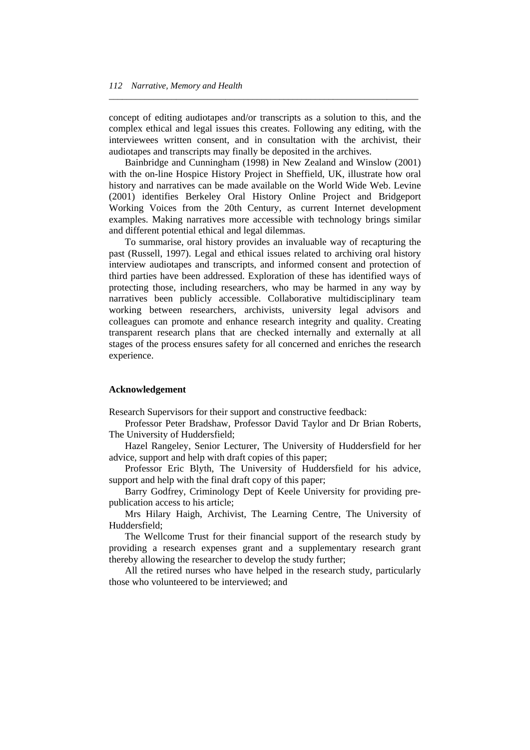concept of editing audiotapes and/or transcripts as a solution to this, and the complex ethical and legal issues this creates. Following any editing, with the interviewees written consent, and in consultation with the archivist, their audiotapes and transcripts may finally be deposited in the archives.

*\_\_\_\_\_\_\_\_\_\_\_\_\_\_\_\_\_\_\_\_\_\_\_\_\_\_\_\_\_\_\_\_\_\_\_\_\_\_\_\_\_\_\_\_\_\_\_\_\_\_\_\_\_\_\_\_\_\_\_\_\_\_\_\_\_\_\_\_\_* 

 Bainbridge and Cunningham (1998) in New Zealand and Winslow (2001) with the on-line Hospice History Project in Sheffield, UK, illustrate how oral history and narratives can be made available on the World Wide Web. Levine (2001) identifies Berkeley Oral History Online Project and Bridgeport Working Voices from the 20th Century, as current Internet development examples. Making narratives more accessible with technology brings similar and different potential ethical and legal dilemmas.

 To summarise, oral history provides an invaluable way of recapturing the past (Russell, 1997). Legal and ethical issues related to archiving oral history interview audiotapes and transcripts, and informed consent and protection of third parties have been addressed. Exploration of these has identified ways of protecting those, including researchers, who may be harmed in any way by narratives been publicly accessible. Collaborative multidisciplinary team working between researchers, archivists, university legal advisors and colleagues can promote and enhance research integrity and quality. Creating transparent research plans that are checked internally and externally at all stages of the process ensures safety for all concerned and enriches the research experience.

#### **Acknowledgement**

Research Supervisors for their support and constructive feedback:

 Professor Peter Bradshaw, Professor David Taylor and Dr Brian Roberts, The University of Huddersfield;

 Hazel Rangeley, Senior Lecturer, The University of Huddersfield for her advice, support and help with draft copies of this paper;

 Professor Eric Blyth, The University of Huddersfield for his advice, support and help with the final draft copy of this paper;

 Barry Godfrey, Criminology Dept of Keele University for providing prepublication access to his article;

 Mrs Hilary Haigh, Archivist, The Learning Centre, The University of Huddersfield;

 The Wellcome Trust for their financial support of the research study by providing a research expenses grant and a supplementary research grant thereby allowing the researcher to develop the study further;

 All the retired nurses who have helped in the research study, particularly those who volunteered to be interviewed; and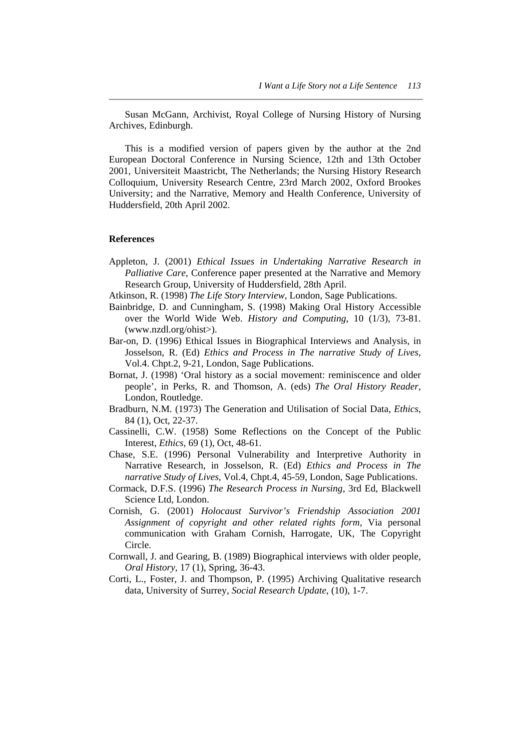Susan McGann, Archivist, Royal College of Nursing History of Nursing Archives, Edinburgh.

*\_\_\_\_\_\_\_\_\_\_\_\_\_\_\_\_\_\_\_\_\_\_\_\_\_\_\_\_\_\_\_\_\_\_\_\_\_\_\_\_\_\_\_\_\_\_\_\_\_\_\_\_\_\_\_\_\_\_\_\_\_\_\_\_\_\_\_\_\_\_* 

 This is a modified version of papers given by the author at the 2nd European Doctoral Conference in Nursing Science, 12th and 13th October 2001, Universiteit Maastricbt, The Netherlands; the Nursing History Research Colloquium, University Research Centre, 23rd March 2002, Oxford Brookes University; and the Narrative, Memory and Health Conference, University of Huddersfield, 20th April 2002.

### **References**

- Appleton, J. (2001) *Ethical Issues in Undertaking Narrative Research in Palliative Care*, Conference paper presented at the Narrative and Memory Research Group, University of Huddersfield, 28th April.
- Atkinson, R. (1998) *The Life Story Interview*, London, Sage Publications.
- Bainbridge, D. and Cunningham, S. (1998) Making Oral History Accessible over the World Wide Web. *History and Computing,* 10 (1/3), 73-81. (www.nzdl.org/ohist>).
- Bar-on, D. (1996) Ethical Issues in Biographical Interviews and Analysis, in Josselson, R. (Ed) *Ethics and Process in The narrative Study of Lives*, Vol.4. Chpt.2, 9-21, London, Sage Publications.
- Bornat, J. (1998) 'Oral history as a social movement: reminiscence and older people', in Perks, R. and Thomson, A. (eds) *The Oral History Reader*, London, Routledge.
- Bradburn, N.M. (1973) The Generation and Utilisation of Social Data, *Ethics*, 84 (1), Oct, 22-37.
- Cassinelli, C.W. (1958) Some Reflections on the Concept of the Public Interest, *Ethics*, 69 (1), Oct, 48-61.
- Chase, S.E. (1996) Personal Vulnerability and Interpretive Authority in Narrative Research, in Josselson, R. (Ed) *Ethics and Process in The narrative Study of Lives*, Vol.4, Chpt.4, 45-59, London, Sage Publications.
- Cormack, D.F.S. (1996) *The Research Process in Nursing*, 3rd Ed, Blackwell Science Ltd, London.
- Cornish, G. (2001) *Holocaust Survivor's Friendship Association 2001 Assignment of copyright and other related rights form*, Via personal communication with Graham Cornish, Harrogate, UK, The Copyright Circle.
- Cornwall, J. and Gearing, B. (1989) Biographical interviews with older people, *Oral History,* 17 (1), Spring, 36-43.
- Corti, L., Foster, J. and Thompson, P. (1995) Archiving Qualitative research data, University of Surrey, *Social Research Update*, (10), 1-7.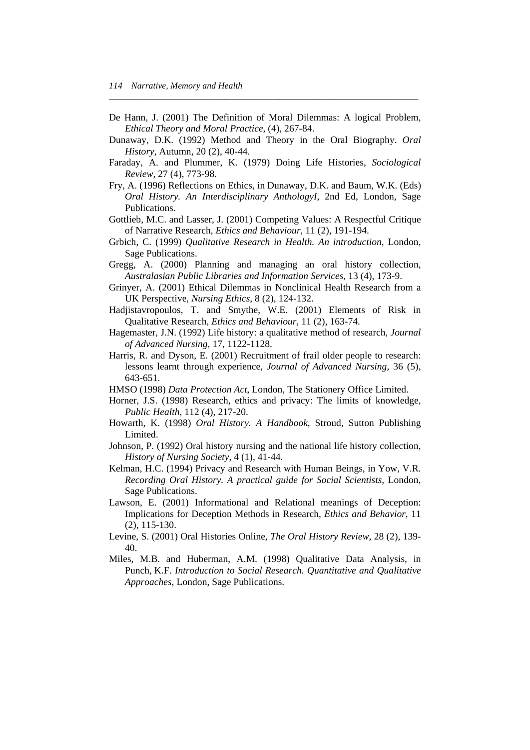De Hann, J. (2001) The Definition of Moral Dilemmas: A logical Problem, *Ethical Theory and Moral Practice*, (4), 267-84.

*\_\_\_\_\_\_\_\_\_\_\_\_\_\_\_\_\_\_\_\_\_\_\_\_\_\_\_\_\_\_\_\_\_\_\_\_\_\_\_\_\_\_\_\_\_\_\_\_\_\_\_\_\_\_\_\_\_\_\_\_\_\_\_\_\_\_\_\_\_* 

- Dunaway, D.K. (1992) Method and Theory in the Oral Biography. *Oral History,* Autumn, 20 (2), 40-44.
- Faraday, A. and Plummer, K. (1979) Doing Life Histories, *Sociological Review,* 27 (4), 773-98.
- Fry, A. (1996) Reflections on Ethics, in Dunaway, D.K. and Baum, W.K. (Eds) *Oral History. An Interdisciplinary AnthologyI,* 2nd Ed, London, Sage Publications.
- Gottlieb, M.C. and Lasser, J. (2001) Competing Values: A Respectful Critique of Narrative Research, *Ethics and Behaviour*, 11 (2), 191-194.
- Grbich, C. (1999) *Qualitative Research in Health. An introduction*, London, Sage Publications.
- Gregg, A. (2000) Planning and managing an oral history collection, *Australasian Public Libraries and Information Services,* 13 (4), 173-9.
- Grinyer, A. (2001) Ethical Dilemmas in Nonclinical Health Research from a UK Perspective, *Nursing Ethics,* 8 (2), 124-132.
- Hadjistavropoulos, T. and Smythe, W.E. (2001) Elements of Risk in Qualitative Research, *Ethics and Behaviour*, 11 (2), 163-74.
- Hagemaster, J.N. (1992) Life history: a qualitative method of research, *Journal of Advanced Nursing,* 17, 1122-1128.
- Harris, R. and Dyson, E. (2001) Recruitment of frail older people to research: lessons learnt through experience, *Journal of Advanced Nursing*, 36 (5), 643-651.
- HMSO (1998) *Data Protection Act*, London, The Stationery Office Limited.
- Horner, J.S. (1998) Research, ethics and privacy: The limits of knowledge, *Public Health,* 112 (4), 217-20.
- Howarth, K. (1998) *Oral History. A Handbook*, Stroud, Sutton Publishing Limited.
- Johnson, P. (1992) Oral history nursing and the national life history collection, *History of Nursing Society,* 4 (1), 41-44.
- Kelman, H.C. (1994) Privacy and Research with Human Beings, in Yow, V.R. *Recording Oral History. A practical guide for Social Scientists*, London, Sage Publications.
- Lawson, E. (2001) Informational and Relational meanings of Deception: Implications for Deception Methods in Research, *Ethics and Behavior*, 11 (2), 115-130.
- Levine, S. (2001) Oral Histories Online, *The Oral History Review*, 28 (2), 139- 40.
- Miles, M.B. and Huberman, A.M. (1998) Qualitative Data Analysis, in Punch, K.F. *Introduction to Social Research. Quantitative and Qualitative Approaches*, London, Sage Publications.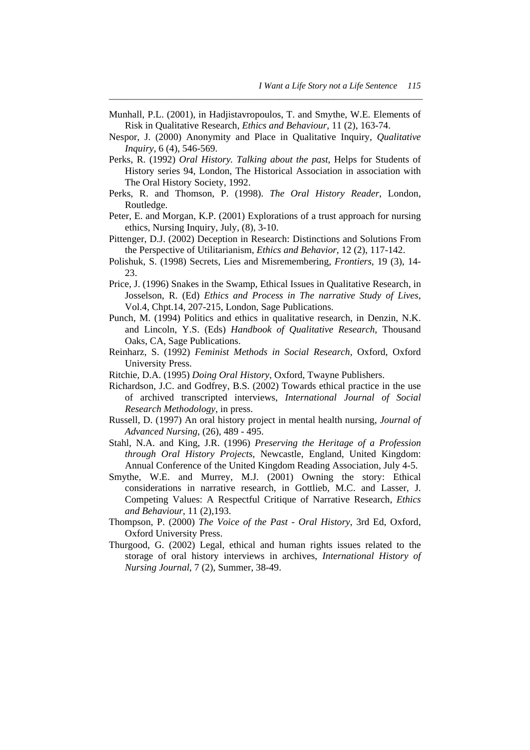Munhall, P.L. (2001), in Hadjistavropoulos, T. and Smythe, W.E. Elements of Risk in Qualitative Research, *Ethics and Behaviour*, 11 (2), 163-74.

*\_\_\_\_\_\_\_\_\_\_\_\_\_\_\_\_\_\_\_\_\_\_\_\_\_\_\_\_\_\_\_\_\_\_\_\_\_\_\_\_\_\_\_\_\_\_\_\_\_\_\_\_\_\_\_\_\_\_\_\_\_\_\_\_\_\_\_\_\_\_* 

- Nespor, J. (2000) Anonymity and Place in Qualitative Inquiry, *Qualitative Inquiry,* 6 (4), 546-569.
- Perks, R. (1992) *Oral History. Talking about the past*, Helps for Students of History series 94, London, The Historical Association in association with The Oral History Society, 1992.
- Perks, R. and Thomson, P. (1998). *The Oral History Reader*, London, Routledge.
- Peter, E. and Morgan, K.P. (2001) Explorations of a trust approach for nursing ethics, Nursing Inquiry, July, (8), 3-10.
- Pittenger, D.J. (2002) Deception in Research: Distinctions and Solutions From the Perspective of Utilitarianism, *Ethics and Behavior*, 12 (2), 117-142.
- Polishuk, S. (1998) Secrets, Lies and Misremembering, *Frontiers,* 19 (3), 14- 23.
- Price, J. (1996) Snakes in the Swamp, Ethical Issues in Qualitative Research, in Josselson, R. (Ed) *Ethics and Process in The narrative Study of Lives*, Vol.4, Chpt.14, 207-215, London, Sage Publications.
- Punch, M. (1994) Politics and ethics in qualitative research, in Denzin, N.K. and Lincoln, Y.S. (Eds) *Handbook of Qualitative Research*, Thousand Oaks, CA, Sage Publications.
- Reinharz, S. (1992) *Feminist Methods in Social Research*, Oxford, Oxford University Press.
- Ritchie, D.A. (1995) *Doing Oral History*, Oxford, Twayne Publishers.
- Richardson, J.C. and Godfrey, B.S. (2002) Towards ethical practice in the use of archived transcripted interviews, *International Journal of Social Research Methodology*, in press.
- Russell, D. (1997) An oral history project in mental health nursing, *Journal of Advanced Nursing*, (26), 489 - 495.
- Stahl, N.A. and King, J.R. (1996) *Preserving the Heritage of a Profession through Oral History Projects*, Newcastle, England, United Kingdom: Annual Conference of the United Kingdom Reading Association, July 4-5.
- Smythe, W.E. and Murrey, M.J. (2001) Owning the story: Ethical considerations in narrative research, in Gottlieb, M.C. and Lasser, J. Competing Values: A Respectful Critique of Narrative Research, *Ethics and Behaviour*, 11 (2),193.
- Thompson, P. (2000) *The Voice of the Past Oral History*, 3rd Ed, Oxford, Oxford University Press.
- Thurgood, G. (2002) Legal, ethical and human rights issues related to the storage of oral history interviews in archives, *International History of Nursing Journal*, 7 (2), Summer, 38-49.